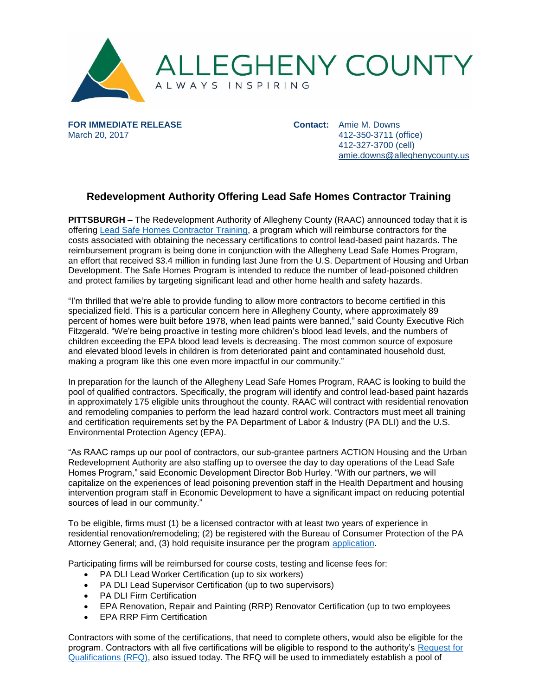

**FOR IMMEDIATE RELEASE** March 20, 2017

**Contact:** Amie M. Downs 412-350-3711 (office) 412-327-3700 (cell) [amie.downs@alleghenycounty.us](mailto:amie.downs@alleghenycounty.us)

## **Redevelopment Authority Offering Lead Safe Homes Contractor Training**

**PITTSBURGH –** The Redevelopment Authority of Allegheny County (RAAC) announced today that it is offering [Lead Safe Homes Contractor Training,](http://www.alleghenycounty.us/leadsafeprogram) a program which will reimburse contractors for the costs associated with obtaining the necessary certifications to control lead-based paint hazards. The reimbursement program is being done in conjunction with the Allegheny Lead Safe Homes Program, an effort that received \$3.4 million in funding last June from the U.S. Department of Housing and Urban Development. The Safe Homes Program is intended to reduce the number of lead-poisoned children and protect families by targeting significant lead and other home health and safety hazards.

"I'm thrilled that we're able to provide funding to allow more contractors to become certified in this specialized field. This is a particular concern here in Allegheny County, where approximately 89 percent of homes were built before 1978, when lead paints were banned," said County Executive Rich Fitzgerald. "We're being proactive in testing more children's blood lead levels, and the numbers of children exceeding the EPA blood lead levels is decreasing. The most common source of exposure and elevated blood levels in children is from deteriorated paint and contaminated household dust, making a program like this one even more impactful in our community."

In preparation for the launch of the Allegheny Lead Safe Homes Program, RAAC is looking to build the pool of qualified contractors. Specifically, the program will identify and control lead-based paint hazards in approximately 175 eligible units throughout the county. RAAC will contract with residential renovation and remodeling companies to perform the lead hazard control work. Contractors must meet all training and certification requirements set by the PA Department of Labor & Industry (PA DLI) and the U.S. Environmental Protection Agency (EPA).

"As RAAC ramps up our pool of contractors, our sub-grantee partners ACTION Housing and the Urban Redevelopment Authority are also staffing up to oversee the day to day operations of the Lead Safe Homes Program," said Economic Development Director Bob Hurley. "With our partners, we will capitalize on the experiences of lead poisoning prevention staff in the Health Department and housing intervention program staff in Economic Development to have a significant impact on reducing potential sources of lead in our community."

To be eligible, firms must (1) be a licensed contractor with at least two years of experience in residential renovation/remodeling; (2) be registered with the Bureau of Consumer Protection of the PA Attorney General; and, (3) hold requisite insurance per the program [application.](http://www.alleghenycounty.us/leadsafeprogram)

Participating firms will be reimbursed for course costs, testing and license fees for:

- PA DLI Lead Worker Certification (up to six workers)
- PA DLI Lead Supervisor Certification (up to two supervisors)
- PA DLI Firm Certification
- EPA Renovation, Repair and Painting (RRP) Renovator Certification (up to two employees
- EPA RRP Firm Certification

Contractors with some of the certifications, that need to complete others, would also be eligible for the program. Contractors with all five certifications will be eligible to respond to the authority's [Request for](http://www.alleghenycounty.us/economic-development/bids/bid-notices.aspx)  [Qualifications \(RFQ\),](http://www.alleghenycounty.us/economic-development/bids/bid-notices.aspx) also issued today. The RFQ will be used to immediately establish a pool of